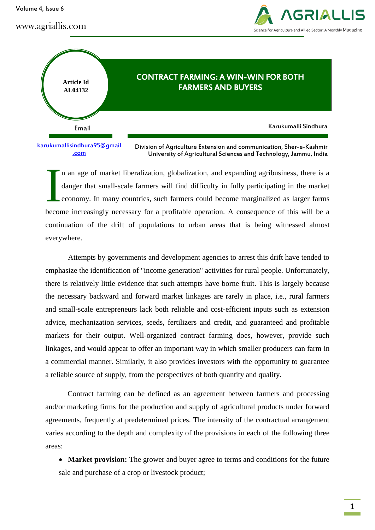Volume 4, Issue 6

www.agriallis.com





[karukumallisindhura95@gmail](mailto:karukumallisindhura95@gmail.com) [.com](mailto:karukumallisindhura95@gmail.com)

Division of Agriculture Extension and communication, Sher-e-Kashmir University of Agricultural Sciences and Technology, Jammu, India

n an age of market liberalization, globalization, and expanding agribusiness, there is a danger that small-scale farmers will find difficulty in fully participating in the market economy. In many countries, such farmers could become marginalized as larger farms become increasingly necessary for a profitable operation. A consequence of this will be a continuation of the drift of populations to urban areas that is being witnessed almost everywhere. I

Attempts by governments and development agencies to arrest this drift have tended to emphasize the identification of "income generation" activities for rural people. Unfortunately, there is relatively little evidence that such attempts have borne fruit. This is largely because the necessary backward and forward market linkages are rarely in place, i.e., rural farmers and small-scale entrepreneurs lack both reliable and cost-efficient inputs such as extension advice, mechanization services, seeds, fertilizers and credit, and guaranteed and profitable markets for their output. Well-organized contract farming does, however, provide such linkages, and would appear to offer an important way in which smaller producers can farm in a commercial manner. Similarly, it also provides investors with the opportunity to guarantee a reliable source of supply, from the perspectives of both quantity and quality.

Contract farming can be defined as an agreement between farmers and processing and/or marketing firms for the production and supply of agricultural products under forward agreements, frequently at predetermined prices. The intensity of the contractual arrangement varies according to the depth and complexity of the provisions in each of the following three areas:

• Market provision: The grower and buyer agree to terms and conditions for the future sale and purchase of a crop or livestock product;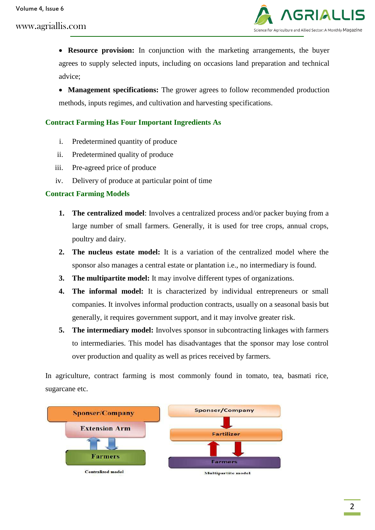

 **Resource provision:** In conjunction with the marketing arrangements, the buyer agrees to supply selected inputs, including on occasions land preparation and technical advice;

• **Management specifications:** The grower agrees to follow recommended production methods, inputs regimes, and cultivation and harvesting specifications.

#### **Contract Farming Has Four Important Ingredients As**

- i. Predetermined quantity of produce
- ii. Predetermined quality of produce
- iii. Pre-agreed price of produce
- iv. Delivery of produce at particular point of time

#### **Contract Farming Models**

- **1. The centralized model**: Involves a centralized process and/or packer buying from a large number of small farmers. Generally, it is used for tree crops, annual crops, poultry and dairy.
- **2. The nucleus estate model:** It is a variation of the centralized model where the sponsor also manages a central estate or plantation i.e., no intermediary is found.
- **3. The multipartite model:** It may involve different types of organizations.
- **4. The informal model:** It is characterized by individual entrepreneurs or small companies. It involves informal production contracts, usually on a seasonal basis but generally, it requires government support, and it may involve greater risk.
- **5. The intermediary model:** Involves sponsor in subcontracting linkages with farmers to intermediaries. This model has disadvantages that the sponsor may lose control over production and quality as well as prices received by farmers.

In agriculture, contract farming is most commonly found in tomato, tea, basmati rice, sugarcane etc.

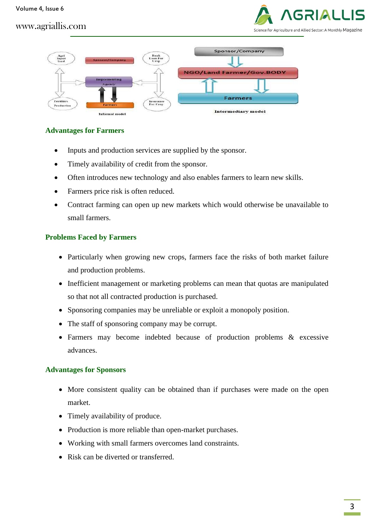# Science for Agriculture and Allied Sector: A Monthly Magazine

## www.agriallis.com



#### **Advantages for Farmers**

- Inputs and production services are supplied by the sponsor.
- Timely availability of credit from the sponsor.
- Often introduces new technology and also enables farmers to learn new skills.
- Farmers price risk is often reduced.
- Contract farming can open up new markets which would otherwise be unavailable to small farmers.

#### **Problems Faced by Farmers**

- Particularly when growing new crops, farmers face the risks of both market failure and production problems.
- Inefficient management or marketing problems can mean that quotas are manipulated so that not all contracted production is purchased.
- Sponsoring companies may be unreliable or exploit a monopoly position.
- The staff of sponsoring company may be corrupt.
- Farmers may become indebted because of production problems & excessive advances.

## **Advantages for Sponsors**

- More consistent quality can be obtained than if purchases were made on the open market.
- Timely availability of produce.
- Production is more reliable than open-market purchases.
- Working with small farmers overcomes land constraints.
- Risk can be diverted or transferred.